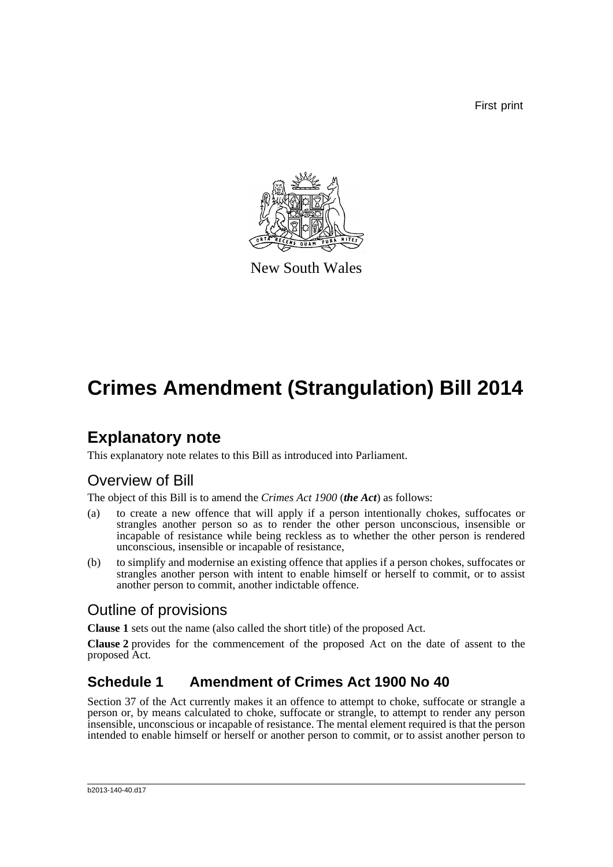First print



New South Wales

# **Crimes Amendment (Strangulation) Bill 2014**

## **Explanatory note**

This explanatory note relates to this Bill as introduced into Parliament.

### Overview of Bill

The object of this Bill is to amend the *Crimes Act 1900* (*the Act*) as follows:

- (a) to create a new offence that will apply if a person intentionally chokes, suffocates or strangles another person so as to render the other person unconscious, insensible or incapable of resistance while being reckless as to whether the other person is rendered unconscious, insensible or incapable of resistance,
- (b) to simplify and modernise an existing offence that applies if a person chokes, suffocates or strangles another person with intent to enable himself or herself to commit, or to assist another person to commit, another indictable offence.

### Outline of provisions

**Clause 1** sets out the name (also called the short title) of the proposed Act.

**Clause 2** provides for the commencement of the proposed Act on the date of assent to the proposed Act.

### **Schedule 1 Amendment of Crimes Act 1900 No 40**

Section 37 of the Act currently makes it an offence to attempt to choke, suffocate or strangle a person or, by means calculated to choke, suffocate or strangle, to attempt to render any person insensible, unconscious or incapable of resistance. The mental element required is that the person intended to enable himself or herself or another person to commit, or to assist another person to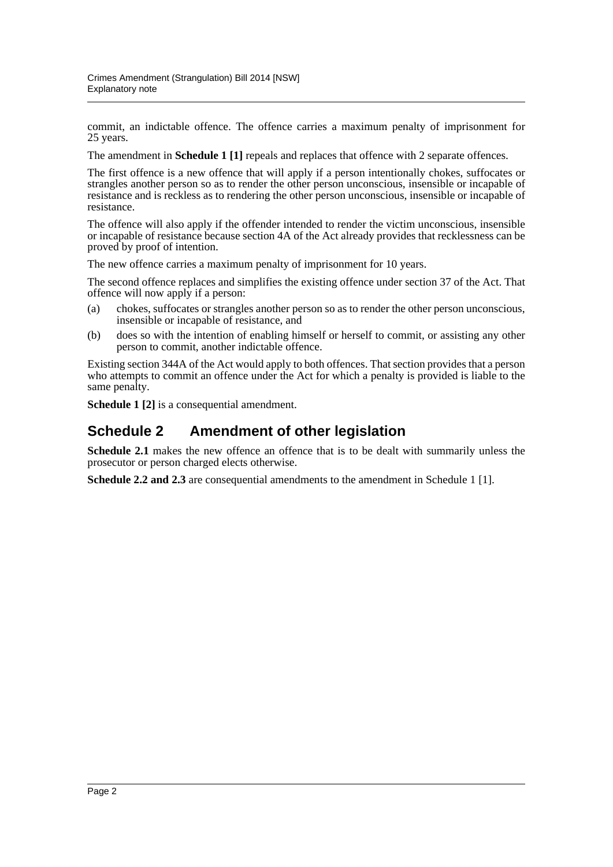commit, an indictable offence. The offence carries a maximum penalty of imprisonment for 25 years.

The amendment in **Schedule 1 [1]** repeals and replaces that offence with 2 separate offences.

The first offence is a new offence that will apply if a person intentionally chokes, suffocates or strangles another person so as to render the other person unconscious, insensible or incapable of resistance and is reckless as to rendering the other person unconscious, insensible or incapable of resistance.

The offence will also apply if the offender intended to render the victim unconscious, insensible or incapable of resistance because section 4A of the Act already provides that recklessness can be proved by proof of intention.

The new offence carries a maximum penalty of imprisonment for 10 years.

The second offence replaces and simplifies the existing offence under section 37 of the Act. That offence will now apply if a person:

- (a) chokes, suffocates or strangles another person so as to render the other person unconscious, insensible or incapable of resistance, and
- (b) does so with the intention of enabling himself or herself to commit, or assisting any other person to commit, another indictable offence.

Existing section 344A of the Act would apply to both offences. That section provides that a person who attempts to commit an offence under the Act for which a penalty is provided is liable to the same penalty.

**Schedule 1 [2]** is a consequential amendment.

#### **Schedule 2 Amendment of other legislation**

**Schedule 2.1** makes the new offence an offence that is to be dealt with summarily unless the prosecutor or person charged elects otherwise.

**Schedule 2.2 and 2.3** are consequential amendments to the amendment in Schedule 1 [1].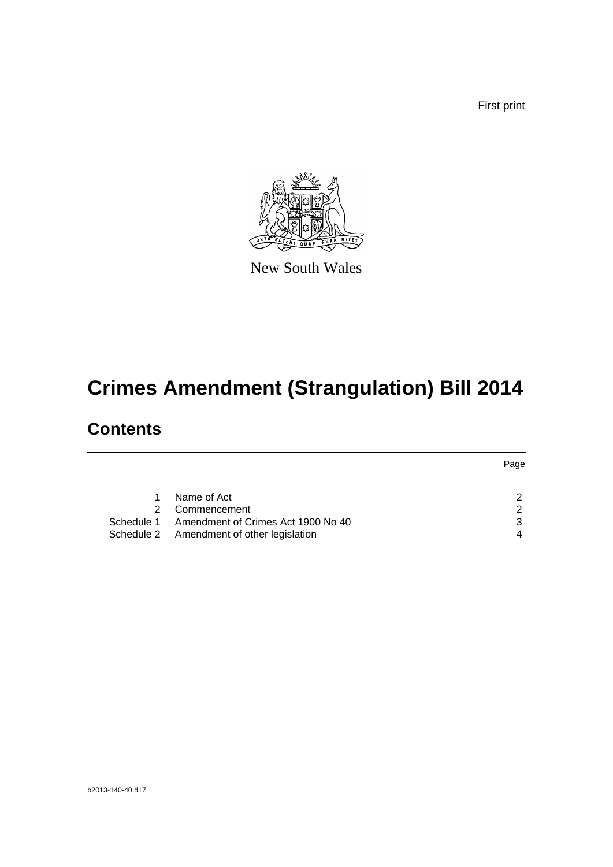First print



New South Wales

# **Crimes Amendment (Strangulation) Bill 2014**

## **Contents**

|               |                                               | Page          |  |
|---------------|-----------------------------------------------|---------------|--|
|               |                                               |               |  |
| 1             | Name of Act                                   | 2             |  |
| $\mathcal{P}$ | Commencement                                  | $\mathcal{P}$ |  |
|               | Schedule 1 Amendment of Crimes Act 1900 No 40 | 3             |  |
|               | Schedule 2 Amendment of other legislation     |               |  |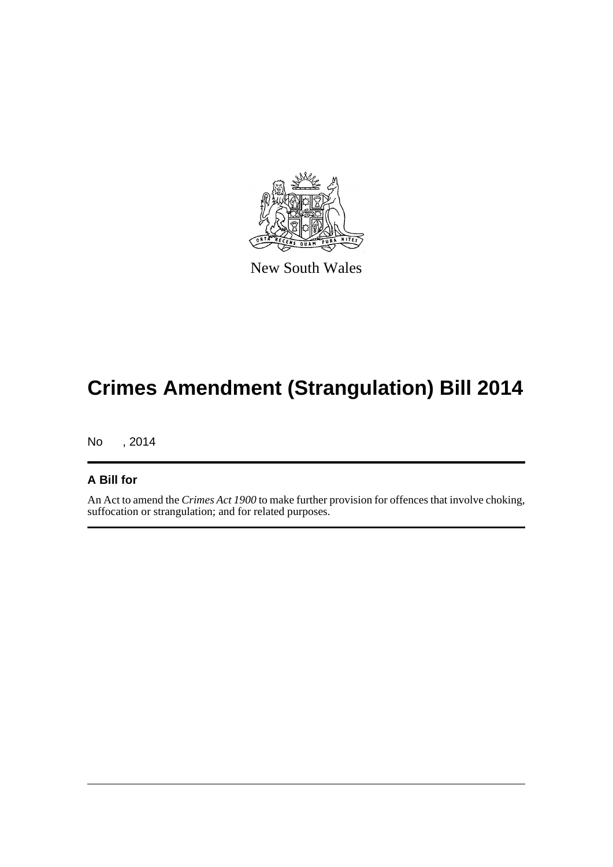

New South Wales

# **Crimes Amendment (Strangulation) Bill 2014**

No , 2014

#### **A Bill for**

An Act to amend the *Crimes Act 1900* to make further provision for offences that involve choking, suffocation or strangulation; and for related purposes.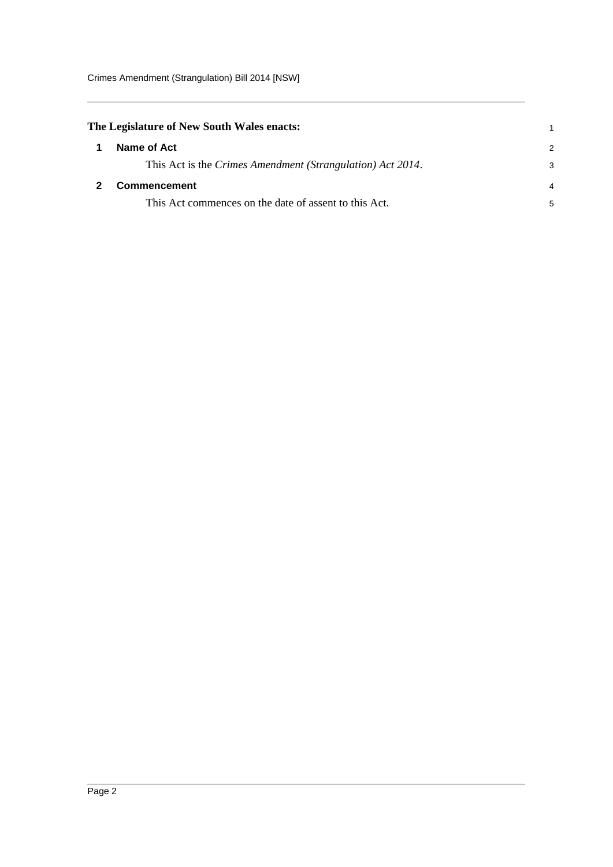<span id="page-4-1"></span><span id="page-4-0"></span>

| The Legislature of New South Wales enacts: |                                                            | 1             |
|--------------------------------------------|------------------------------------------------------------|---------------|
|                                            | Name of Act                                                | $\mathcal{P}$ |
|                                            | This Act is the Crimes Amendment (Strangulation) Act 2014. | 3             |
|                                            | <b>Commencement</b>                                        | 4             |
|                                            | This Act commences on the date of assent to this Act.      | 5             |
|                                            |                                                            |               |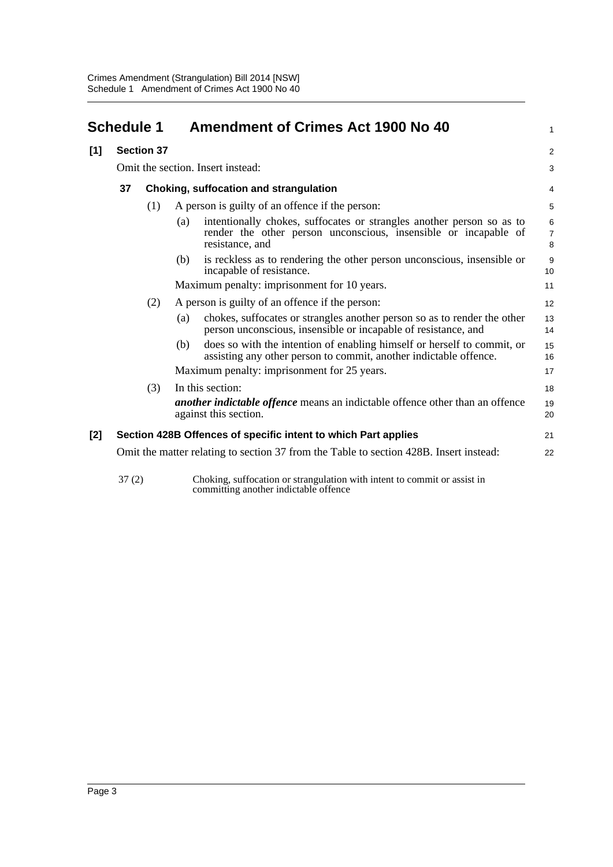<span id="page-5-0"></span>

| <b>Schedule 1</b> |                                                                                        |                   | <b>Amendment of Crimes Act 1900 No 40</b>       | 1                                                                                                                                                           |                          |  |
|-------------------|----------------------------------------------------------------------------------------|-------------------|-------------------------------------------------|-------------------------------------------------------------------------------------------------------------------------------------------------------------|--------------------------|--|
| [1]               |                                                                                        | <b>Section 37</b> |                                                 |                                                                                                                                                             | $\overline{2}$           |  |
|                   |                                                                                        |                   |                                                 | Omit the section. Insert instead:                                                                                                                           |                          |  |
|                   | 37                                                                                     |                   |                                                 | Choking, suffocation and strangulation                                                                                                                      |                          |  |
|                   |                                                                                        | (1)               | A person is guilty of an offence if the person: |                                                                                                                                                             |                          |  |
|                   |                                                                                        |                   | (a)                                             | intentionally chokes, suffocates or strangles another person so as to<br>render the other person unconscious, insensible or incapable of<br>resistance, and | 6<br>$\overline{7}$<br>8 |  |
|                   |                                                                                        |                   | (b)                                             | is reckless as to rendering the other person unconscious, insensible or<br>incapable of resistance.                                                         | 9<br>10                  |  |
|                   |                                                                                        |                   |                                                 | Maximum penalty: imprisonment for 10 years.                                                                                                                 | 11                       |  |
|                   |                                                                                        | (2)               |                                                 | A person is guilty of an offence if the person:                                                                                                             | 12                       |  |
|                   |                                                                                        |                   | (a)                                             | chokes, suffocates or strangles another person so as to render the other<br>person unconscious, insensible or incapable of resistance, and                  | 13<br>14                 |  |
|                   |                                                                                        |                   | (b)                                             | does so with the intention of enabling himself or herself to commit, or<br>assisting any other person to commit, another indictable offence.                | 15<br>16                 |  |
|                   |                                                                                        |                   |                                                 | Maximum penalty: imprisonment for 25 years.                                                                                                                 | 17                       |  |
|                   |                                                                                        | (3)               |                                                 | In this section:                                                                                                                                            | 18                       |  |
|                   |                                                                                        |                   |                                                 | <i>another indictable offence</i> means an indictable offence other than an offence<br>against this section.                                                | 19<br>20                 |  |
| $[2]$             |                                                                                        |                   |                                                 | Section 428B Offences of specific intent to which Part applies                                                                                              | 21                       |  |
|                   | Omit the matter relating to section 37 from the Table to section 428B. Insert instead: |                   |                                                 | 22                                                                                                                                                          |                          |  |
|                   | 37(2)                                                                                  |                   |                                                 | Choking, suffocation or strangulation with intent to commit or assist in<br>committing another indictable offence                                           |                          |  |